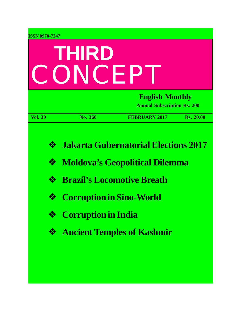| <b>ISSN 0970-7247</b>                  |                                                               |                                                                                                                                                                |                  |  |
|----------------------------------------|---------------------------------------------------------------|----------------------------------------------------------------------------------------------------------------------------------------------------------------|------------------|--|
| THIRD<br>CONCEP                        |                                                               |                                                                                                                                                                |                  |  |
|                                        | <b>English Monthly</b><br><b>Annual Subscription Rs. 200</b>  |                                                                                                                                                                |                  |  |
| <b>Vol. 30</b>                         | No. 360                                                       | <b>FEBRUARY 2017</b>                                                                                                                                           | <b>Rs. 20.00</b> |  |
| $\frac{1}{2}$<br>❖<br>❖<br>❖<br>❖<br>❖ | <b>Corruption in Sino-World</b><br><b>Corruption in India</b> | <b>Jakarta Gubernatorial Elections 2017</b><br><b>Moldova's Geopolitical Dilemma</b><br><b>Brazil's Locomotive Breath</b><br><b>Ancient Temples of Kashmir</b> |                  |  |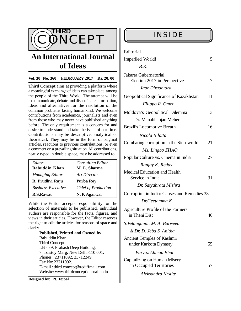

# **An International Journal of Ideas**

### **Vol. 30 No. 360 FEBRUARY 2017 Rs. 20. 00**

**Third Concept** aims at providing a platform where a meaningful exchange of ideas can take place among the people of the Third World. The attempt will be to communicate, debate and disseminate information, ideas and alternatives for the resolution of the common problems facing humankind. We welcome contributions from academics, journalists and even from those who may never have published anything before. The only requirement is a concern for and desire to understand and take the issue of our time. Contributions may be descriptive, analytical or theoretical. They may be in the form of original articles, reactions to previous contributions, or even a comment on a prevailing situation. All contributions, neatly typed in double space, may be addressed to:

| Editor<br><b>Babuddin Khan</b> | <b>Consulting Editor</b><br>M. L. Sharma |
|--------------------------------|------------------------------------------|
| <b>Managing Editor</b>         | Art Director                             |
| R. Prudhvi Raju                | Purba Roy                                |
| <b>Business Executive</b>      | <b>Chief of Production</b>               |
| <b>R.S.Rawat</b>               | N. P. Agarwal                            |

While the Editor accepts responsibility for the selection of materials to be published, individual authors are responsible for the facts, figures, and views in their articles. However, the Editor reserves the right to edit the articles for reasons of space and clarity.

**Published, Printed and Owned by** Babuddin Khan Third Concept LB - 39, Prakash Deep Building, 7, Tolstoy Marg, New Delhi-110 001. Phones : 23711092, 23712249 Fax No: 23711092. E-mail : [third.concept@rediffmail.com](mailto:third.concept@rediffmail.com) Website: [www.thirdconceptjournal.co.in](http://www.thirdconceptjournal.co.in)

**Designed by**: **Pt. Tejpal**

| Editorial                                               |    |  |  |
|---------------------------------------------------------|----|--|--|
| Imperiled World!                                        | 5  |  |  |
| B.K.                                                    |    |  |  |
| Jakarta Gubernatorial<br>Election 2017 in Perspective   | 7  |  |  |
| Igor Dirgantara                                         |    |  |  |
| Geopolitical Significance of Kazakhstan                 | 11 |  |  |
| Filippo R Omeo                                          |    |  |  |
| Moldova's Geopolitical Dilemma                          | 13 |  |  |
| Dr. Manabhanjan Meher                                   |    |  |  |
| <b>Brazil's Locomotive Breath</b>                       | 16 |  |  |
| Nicola Bilotta                                          |    |  |  |
| Combating corruption in the Sino-world                  | 21 |  |  |
| Ms. Lingbo ZHAO                                         |    |  |  |
| Popular Culture vs. Cinema in India                     |    |  |  |
| Ranjay K. Reddy                                         |    |  |  |
| <b>Medical Education and Health</b><br>Service in India | 31 |  |  |
| Dr. Satyabrata Mishra                                   |    |  |  |
| Corruption in India: Causes and Remedies 38             |    |  |  |
| Dr.Geetamma.K                                           |    |  |  |
| Agriculture Profile of the Farmers<br>in Theni Dist     | 46 |  |  |
| S. Velanganni, M. A. Barween                            |    |  |  |
| & Dr. D. Jeba S. Anitha                                 |    |  |  |
| Ancient Temples of Kashmir<br>under Karkota Dynasty     | 55 |  |  |
| Paryaz Ahmad Bhat                                       |    |  |  |
| Capitalizing on Human Misery<br>in Occupied Territories | 57 |  |  |
| Aleksandra Krstiæ                                       |    |  |  |